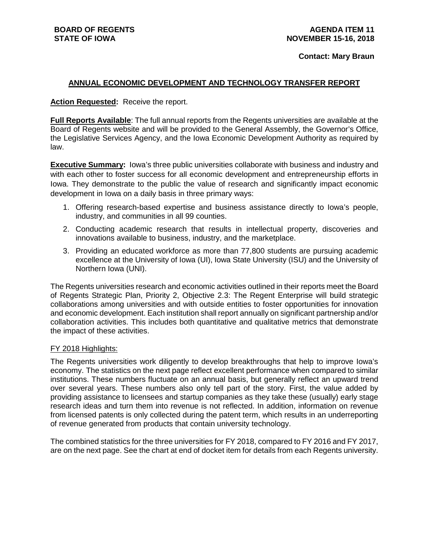#### **Contact: Mary Braun**

### **ANNUAL ECONOMIC DEVELOPMENT AND TECHNOLOGY TRANSFER REPORT**

### **Action Requested:** Receive the report.

**Full Reports Available**: The full annual reports from the Regents universities are available at the Board of Regents website and will be provided to the General Assembly, the Governor's Office, the Legislative Services Agency, and the Iowa Economic Development Authority as required by law.

**Executive Summary:** lowa's three public universities collaborate with business and industry and with each other to foster success for all economic development and entrepreneurship efforts in Iowa. They demonstrate to the public the value of research and significantly impact economic development in Iowa on a daily basis in three primary ways:

- 1. Offering research-based expertise and business assistance directly to Iowa's people, industry, and communities in all 99 counties.
- 2. Conducting academic research that results in intellectual property, discoveries and innovations available to business, industry, and the marketplace.
- 3. Providing an educated workforce as more than 77,800 students are pursuing academic excellence at the University of Iowa (UI), Iowa State University (ISU) and the University of Northern Iowa (UNI).

The Regents universities research and economic activities outlined in their reports meet the Board of Regents Strategic Plan, Priority 2, Objective 2.3: The Regent Enterprise will build strategic collaborations among universities and with outside entities to foster opportunities for innovation and economic development. Each institution shall report annually on significant partnership and/or collaboration activities. This includes both quantitative and qualitative metrics that demonstrate the impact of these activities.

#### FY 2018 Highlights:

The Regents universities work diligently to develop breakthroughs that help to improve Iowa's economy. The statistics on the next page reflect excellent performance when compared to similar institutions. These numbers fluctuate on an annual basis, but generally reflect an upward trend over several years. These numbers also only tell part of the story. First, the value added by providing assistance to licensees and startup companies as they take these (usually) early stage research ideas and turn them into revenue is not reflected. In addition, information on revenue from licensed patents is only collected during the patent term, which results in an underreporting of revenue generated from products that contain university technology.

The combined statistics for the three universities for FY 2018, compared to FY 2016 and FY 2017, are on the next page. See the chart at end of docket item for details from each Regents university.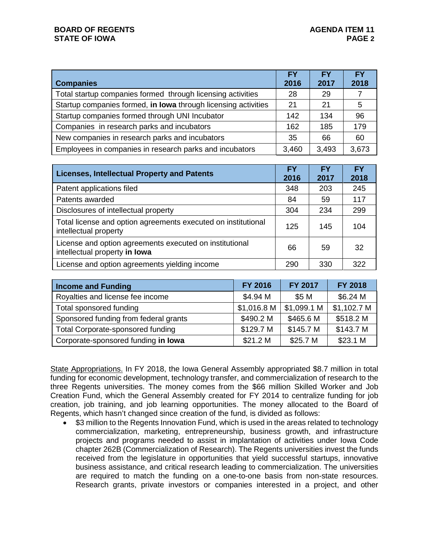|                                                                | <b>FY</b> | <b>FY</b> | <b>FY</b> |
|----------------------------------------------------------------|-----------|-----------|-----------|
| <b>Companies</b>                                               | 2016      | 2017      | 2018      |
| Total startup companies formed through licensing activities    | 28        | 29        |           |
| Startup companies formed, in lowa through licensing activities | 21        | 21        | 5         |
| Startup companies formed through UNI Incubator                 | 142       | 134       | 96        |
| Companies in research parks and incubators                     | 162       | 185       | 179       |
| New companies in research parks and incubators                 | 35        | 66        | 60        |
| Employees in companies in research parks and incubators        | 3,460     | 3,493     | 3,673     |

| <b>Licenses, Intellectual Property and Patents</b>                                       | <b>FY</b><br>2016 | <b>FY</b><br>2017 | FΥ<br>2018 |
|------------------------------------------------------------------------------------------|-------------------|-------------------|------------|
| Patent applications filed                                                                | 348               | 203               | 245        |
| Patents awarded                                                                          | 84                | 59                | 117        |
| Disclosures of intellectual property                                                     | 304               | 234               | 299        |
| Total license and option agreements executed on institutional<br>intellectual property   | 125               | 145               | 104        |
| License and option agreements executed on institutional<br>intellectual property in lowa | 66                | 59                | 32         |
| License and option agreements yielding income                                            | 290               | 330               | 322        |

| <b>Income and Funding</b>             | FY 2016     | FY 2017     | <b>FY 2018</b> |  |
|---------------------------------------|-------------|-------------|----------------|--|
| Royalties and license fee income      | \$4.94 M    | \$5 M       | \$6.24 M       |  |
| Total sponsored funding               | \$1,016.8 M | \$1,099.1 M | \$1,102.7 M    |  |
| Sponsored funding from federal grants | \$490.2 M   | \$465.6 M   | \$518.2 M      |  |
| Total Corporate-sponsored funding     | \$129.7 M   | \$145.7 M   | \$143.7 M      |  |
| Corporate-sponsored funding in lowa   | \$21.2 M    | \$25.7 M    | \$23.1 M       |  |

State Appropriations. In FY 2018, the Iowa General Assembly appropriated \$8.7 million in total funding for economic development, technology transfer, and commercialization of research to the three Regents universities. The money comes from the \$66 million Skilled Worker and Job Creation Fund, which the General Assembly created for FY 2014 to centralize funding for job creation, job training, and job learning opportunities. The money allocated to the Board of Regents, which hasn't changed since creation of the fund, is divided as follows:

\$3 million to the Regents Innovation Fund, which is used in the areas related to technology commercialization, marketing, entrepreneurship, business growth, and infrastructure projects and programs needed to assist in implantation of activities under Iowa Code chapter 262B (Commercialization of Research). The Regents universities invest the funds received from the legislature in opportunities that yield successful startups, innovative business assistance, and critical research leading to commercialization. The universities are required to match the funding on a one-to-one basis from non-state resources. Research grants, private investors or companies interested in a project, and other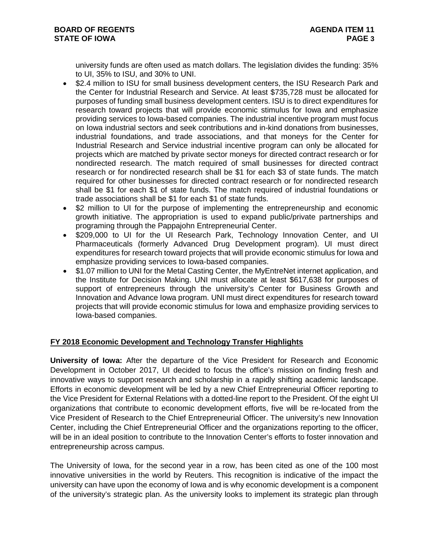university funds are often used as match dollars. The legislation divides the funding: 35% to UI, 35% to ISU, and 30% to UNI.

- \$2.4 million to ISU for small business development centers, the ISU Research Park and the Center for Industrial Research and Service. At least \$735,728 must be allocated for purposes of funding small business development centers. ISU is to direct expenditures for research toward projects that will provide economic stimulus for Iowa and emphasize providing services to Iowa-based companies. The industrial incentive program must focus on Iowa industrial sectors and seek contributions and in-kind donations from businesses, industrial foundations, and trade associations, and that moneys for the Center for Industrial Research and Service industrial incentive program can only be allocated for projects which are matched by private sector moneys for directed contract research or for nondirected research. The match required of small businesses for directed contract research or for nondirected research shall be \$1 for each \$3 of state funds. The match required for other businesses for directed contract research or for nondirected research shall be \$1 for each \$1 of state funds. The match required of industrial foundations or trade associations shall be \$1 for each \$1 of state funds.
- \$2 million to UI for the purpose of implementing the entrepreneurship and economic growth initiative. The appropriation is used to expand public/private partnerships and programing through the Pappajohn Entrepreneurial Center.
- \$209,000 to UI for the UI Research Park, Technology Innovation Center, and UI Pharmaceuticals (formerly Advanced Drug Development program). UI must direct expenditures for research toward projects that will provide economic stimulus for Iowa and emphasize providing services to Iowa-based companies.
- \$1.07 million to UNI for the Metal Casting Center, the MyEntreNet internet application, and the Institute for Decision Making. UNI must allocate at least \$617,638 for purposes of support of entrepreneurs through the university's Center for Business Growth and Innovation and Advance Iowa program. UNI must direct expenditures for research toward projects that will provide economic stimulus for Iowa and emphasize providing services to Iowa-based companies.

# **FY 2018 Economic Development and Technology Transfer Highlights**

**University of Iowa:** After the departure of the Vice President for Research and Economic Development in October 2017, UI decided to focus the office's mission on finding fresh and innovative ways to support research and scholarship in a rapidly shifting academic landscape. Efforts in economic development will be led by a new Chief Entrepreneurial Officer reporting to the Vice President for External Relations with a dotted-line report to the President. Of the eight UI organizations that contribute to economic development efforts, five will be re-located from the Vice President of Research to the Chief Entrepreneurial Officer. The university's new Innovation Center, including the Chief Entrepreneurial Officer and the organizations reporting to the officer, will be in an ideal position to contribute to the Innovation Center's efforts to foster innovation and entrepreneurship across campus.

The University of Iowa, for the second year in a row, has been cited as one of the 100 most innovative universities in the world by Reuters. This recognition is indicative of the impact the university can have upon the economy of Iowa and is why economic development is a component of the university's strategic plan. As the university looks to implement its strategic plan through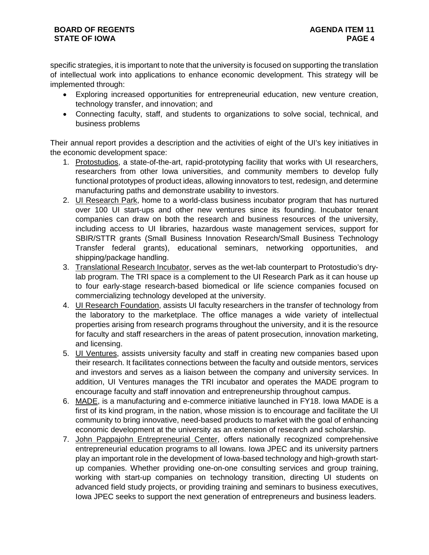## **BOARD OF REGENTS STATE OF IOWA**

specific strategies, it is important to note that the university is focused on supporting the translation of intellectual work into applications to enhance economic development. This strategy will be implemented through:

- Exploring increased opportunities for entrepreneurial education, new venture creation, technology transfer, and innovation; and
- Connecting faculty, staff, and students to organizations to solve social, technical, and business problems

Their annual report provides a description and the activities of eight of the UI's key initiatives in the economic development space:

- 1. Protostudios, a state-of-the-art, rapid-prototyping facility that works with UI researchers, researchers from other Iowa universities, and community members to develop fully functional prototypes of product ideas, allowing innovators to test, redesign, and determine manufacturing paths and demonstrate usability to investors.
- 2. UI Research Park, home to a world-class business incubator program that has nurtured over 100 UI start-ups and other new ventures since its founding. Incubator tenant companies can draw on both the research and business resources of the university, including access to UI libraries, hazardous waste management services, support for SBIR/STTR grants (Small Business Innovation Research/Small Business Technology Transfer federal grants), educational seminars, networking opportunities, and shipping/package handling.
- 3. Translational Research Incubator, serves as the wet-lab counterpart to Protostudio's drylab program. The TRI space is a complement to the UI Research Park as it can house up to four early-stage research-based biomedical or life science companies focused on commercializing technology developed at the university.
- 4. UI Research Foundation, assists UI faculty researchers in the transfer of technology from the laboratory to the marketplace. The office manages a wide variety of intellectual properties arising from research programs throughout the university, and it is the resource for faculty and staff researchers in the areas of patent prosecution, innovation marketing, and licensing.
- 5. UI Ventures, assists university faculty and staff in creating new companies based upon their research. It facilitates connections between the faculty and outside mentors, services and investors and serves as a liaison between the company and university services. In addition, UI Ventures manages the TRI incubator and operates the MADE program to encourage faculty and staff innovation and entrepreneurship throughout campus.
- 6. MADE, is a manufacturing and e-commerce initiative launched in FY18. Iowa MADE is a first of its kind program, in the nation, whose mission is to encourage and facilitate the UI community to bring innovative, need-based products to market with the goal of enhancing economic development at the university as an extension of research and scholarship.
- 7. John Pappajohn Entrepreneurial Center, offers nationally recognized comprehensive entrepreneurial education programs to all Iowans. Iowa JPEC and its university partners play an important role in the development of Iowa-based technology and high-growth startup companies. Whether providing one-on-one consulting services and group training, working with start-up companies on technology transition, directing UI students on advanced field study projects, or providing training and seminars to business executives, Iowa JPEC seeks to support the next generation of entrepreneurs and business leaders.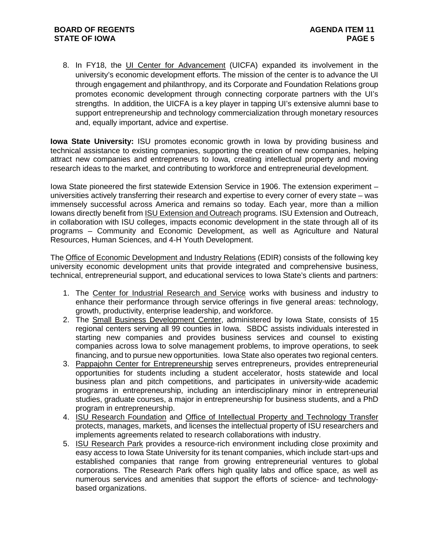8. In FY18, the UI Center for Advancement (UICFA) expanded its involvement in the university's economic development efforts. The mission of the center is to advance the UI through engagement and philanthropy, and its Corporate and Foundation Relations group promotes economic development through connecting corporate partners with the UI's strengths. In addition, the UICFA is a key player in tapping UI's extensive alumni base to support entrepreneurship and technology commercialization through monetary resources and, equally important, advice and expertise.

**Iowa State University:** ISU promotes economic growth in Iowa by providing business and technical assistance to existing companies, supporting the creation of new companies, helping attract new companies and entrepreneurs to Iowa, creating intellectual property and moving research ideas to the market, and contributing to workforce and entrepreneurial development.

Iowa State pioneered the first statewide Extension Service in 1906. The extension experiment – universities actively transferring their research and expertise to every corner of every state – was immensely successful across America and remains so today. Each year, more than a million Iowans directly benefit from ISU Extension and Outreach programs. ISU Extension and Outreach, in collaboration with ISU colleges, impacts economic development in the state through all of its programs – Community and Economic Development, as well as Agriculture and Natural Resources, Human Sciences, and 4-H Youth Development.

The Office of Economic Development and Industry Relations (EDIR) consists of the following key university economic development units that provide integrated and comprehensive business, technical, entrepreneurial support, and educational services to Iowa State's clients and partners:

- 1. The Center for Industrial Research and Service works with business and industry to enhance their performance through service offerings in five general areas: technology, growth, productivity, enterprise leadership, and workforce.
- 2. The Small Business Development Center, administered by Iowa State, consists of 15 regional centers serving all 99 counties in Iowa. SBDC assists individuals interested in starting new companies and provides business services and counsel to existing companies across Iowa to solve management problems, to improve operations, to seek financing, and to pursue new opportunities. Iowa State also operates two regional centers.
- 3. Pappajohn Center for Entrepreneurship serves entrepreneurs, provides entrepreneurial opportunities for students including a student accelerator, hosts statewide and local business plan and pitch competitions, and participates in university-wide academic programs in entrepreneurship, including an interdisciplinary minor in entrepreneurial studies, graduate courses, a major in entrepreneurship for business students, and a PhD program in entrepreneurship.
- 4. ISU Research Foundation and Office of Intellectual Property and Technology Transfer protects, manages, markets, and licenses the intellectual property of ISU researchers and implements agreements related to research collaborations with industry.
- 5. ISU Research Park provides a resource-rich environment including close proximity and easy access to Iowa State University for its tenant companies, which include start-ups and established companies that range from growing entrepreneurial ventures to global corporations. The Research Park offers high quality labs and office space, as well as numerous services and amenities that support the efforts of science- and technologybased organizations.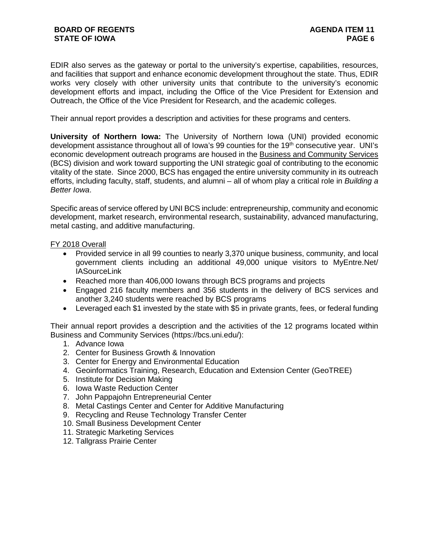EDIR also serves as the gateway or portal to the university's expertise, capabilities, resources, and facilities that support and enhance economic development throughout the state. Thus, EDIR works very closely with other university units that contribute to the university's economic development efforts and impact, including the Office of the Vice President for Extension and Outreach, the Office of the Vice President for Research, and the academic colleges.

Their annual report provides a description and activities for these programs and centers.

**University of Northern Iowa:** The University of Northern Iowa (UNI) provided economic development assistance throughout all of Iowa's 99 counties for the 19<sup>th</sup> consecutive year. UNI's economic development outreach programs are housed in the Business and Community Services (BCS) division and work toward supporting the UNI strategic goal of contributing to the economic vitality of the state. Since 2000, BCS has engaged the entire university community in its outreach efforts, including faculty, staff, students, and alumni – all of whom play a critical role in *Building a Better Iowa*.

Specific areas of service offered by UNI BCS include: entrepreneurship, community and economic development, market research, environmental research, sustainability, advanced manufacturing, metal casting, and additive manufacturing.

## FY 2018 Overall

- Provided service in all 99 counties to nearly 3,370 unique business, community, and local government clients including an additional 49,000 unique visitors to MyEntre.Net/ **IASourceLink**
- Reached more than 406,000 lowans through BCS programs and projects
- Engaged 216 faculty members and 356 students in the delivery of BCS services and another 3,240 students were reached by BCS programs
- Leveraged each \$1 invested by the state with \$5 in private grants, fees, or federal funding

Their annual report provides a description and the activities of the 12 programs located within Business and Community Services (https://bcs.uni.edu/):

- 1. Advance Iowa
- 2. Center for Business Growth & Innovation
- 3. Center for Energy and Environmental Education
- 4. Geoinformatics Training, Research, Education and Extension Center (GeoTREE)
- 5. Institute for Decision Making
- 6. Iowa Waste Reduction Center
- 7. John Pappajohn Entrepreneurial Center
- 8. Metal Castings Center and Center for Additive Manufacturing
- 9. Recycling and Reuse Technology Transfer Center
- 10. Small Business Development Center
- 11. Strategic Marketing Services
- 12. Tallgrass Prairie Center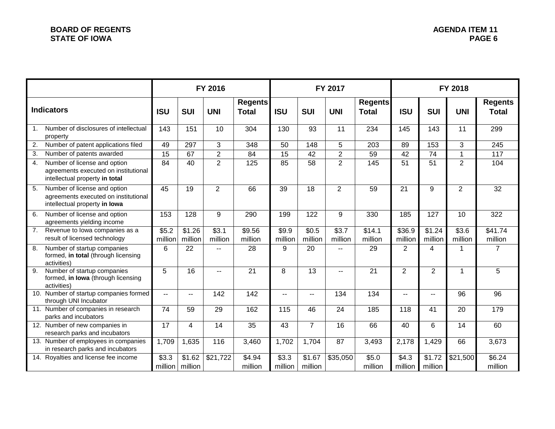|                   |                                                                                                        |                          |                                       | FY 2016          |                                | FY 2017          |                           |                          |                                | FY 2018                  |                           |                  |                                |
|-------------------|--------------------------------------------------------------------------------------------------------|--------------------------|---------------------------------------|------------------|--------------------------------|------------------|---------------------------|--------------------------|--------------------------------|--------------------------|---------------------------|------------------|--------------------------------|
| <b>Indicators</b> |                                                                                                        | <b>ISU</b>               | <b>SUI</b>                            | <b>UNI</b>       | <b>Regents</b><br><b>Total</b> | <b>ISU</b>       | <b>SUI</b>                | <b>UNI</b>               | <b>Regents</b><br><b>Total</b> | <b>ISU</b>               | <b>SUI</b>                | <b>UNI</b>       | <b>Regents</b><br><b>Total</b> |
| $\mathbf{1}$ .    | Number of disclosures of intellectual<br>property                                                      | 143                      | 151                                   | 10               | 304                            | 130              | 93                        | 11                       | 234                            | 145                      | 143                       | 11               | 299                            |
| 2.                | Number of patent applications filed                                                                    | 49                       | 297                                   | 3                | 348                            | 50               | 148                       | 5                        | 203                            | 89                       | 153                       | 3                | $\overline{245}$               |
| 3.                | Number of patents awarded                                                                              | 15                       | 67                                    | $\overline{2}$   | 84                             | 15               | 42                        | $\overline{2}$           | 59                             | 42                       | 74                        | $\mathbf{1}$     | 117                            |
| 4.                | Number of license and option<br>agreements executed on institutional<br>intellectual property in total | 84                       | 40                                    | $\overline{2}$   | 125                            | 85               | 58                        | $\overline{2}$           | 145                            | 51                       | 51                        | $\overline{2}$   | 104                            |
| 5.                | Number of license and option<br>agreements executed on institutional<br>intellectual property in lowa  | 45                       | 19                                    | $\overline{2}$   | 66                             | 39               | 18                        | $\overline{2}$           | 59                             | 21                       | 9                         | $\overline{2}$   | 32                             |
| 6.                | Number of license and option<br>agreements yielding income                                             | 153                      | 128                                   | 9                | 290                            | 199              | $\overline{122}$          | 9                        | 330                            | 185                      | 127                       | 10               | 322                            |
| 7.                | Revenue to lowa companies as a<br>result of licensed technology                                        | \$5.2<br>million         | \$1.26<br>million                     | \$3.1<br>million | \$9.56<br>million              | \$9.9<br>million | \$0.5<br>million          | \$3.7<br>million         | \$14.1<br>million              | \$36.9<br>million        | $\sqrt{$1.24}$<br>million | \$3.6<br>million | \$41.74<br>million             |
| 8.                | Number of startup companies<br>formed, in total (through licensing<br>activities)                      | 6                        | 22                                    |                  | 28                             | 9                | 20                        | $\overline{a}$           | 29                             | $\overline{2}$           | $\overline{4}$            | 1                | $\overline{7}$                 |
| 9.                | Number of startup companies<br>formed, in lowa (through licensing<br>activities)                       | 5                        | 16                                    | $\overline{a}$   | 21                             | 8                | 13                        | $\overline{\phantom{a}}$ | 21                             | $\overline{2}$           | $\overline{2}$            | 1                | 5                              |
| 10.               | Number of startup companies formed<br>through UNI Incubator                                            | $\overline{\phantom{a}}$ | $- -$                                 | 142              | 142                            | $- -$            | $-$                       | 134                      | 134                            | $\overline{\phantom{a}}$ | $-$                       | 96               | 96                             |
|                   | 11. Number of companies in research<br>parks and incubators                                            | 74                       | 59                                    | 29               | 162                            | 115              | 46                        | $\overline{24}$          | 185                            | 118                      | 41                        | 20               | 179                            |
|                   | 12. Number of new companies in<br>research parks and incubators                                        | 17                       | 4                                     | 14               | 35                             | 43               | $\overline{7}$            | 16                       | 66                             | 40                       | 6                         | 14               | 60                             |
|                   | 13. Number of employees in companies<br>in research parks and incubators                               | 1,709                    | 1,635                                 | 116              | 3,460                          | 1,702            | 1,704                     | 87                       | 3,493                          | 2,178                    | 1,429                     | 66               | 3,673                          |
|                   | 14. Royalties and license fee income                                                                   | \$3.3                    | $\overline{$}1.62$<br>million million | \$21,722         | \$4.94<br>million              | \$3.3<br>million | $\sqrt{$1.67}$<br>million | $\overline{$}35,050$     | $\overline{$}5.0$<br>million   | $\sqrt{$4.3}$<br>million | \$1.72<br>million         | \$21,500         | \$6.24<br>million              |